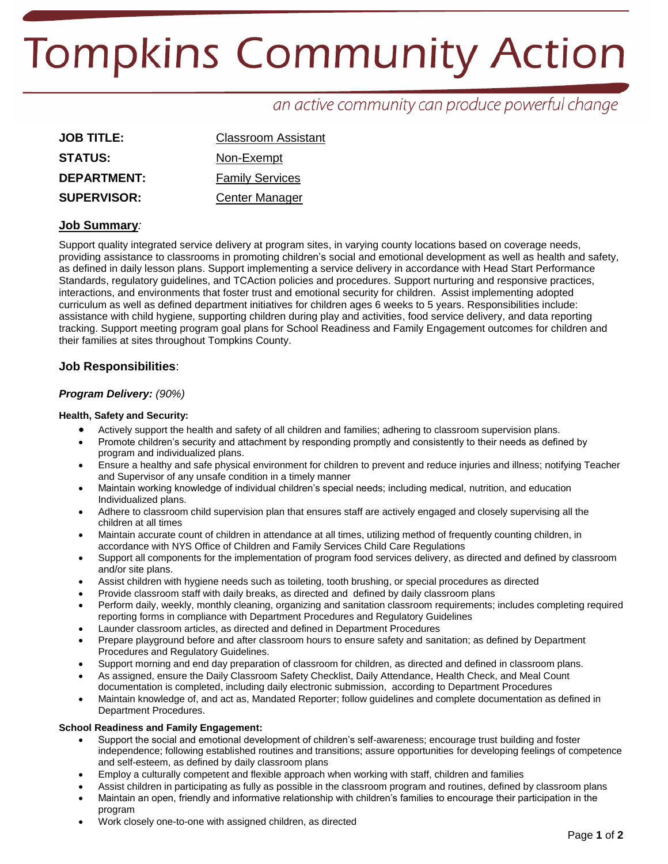# **Tompkins Community Action**

# an active community can produce powerful change

| <b>JOB TITLE:</b>  | <b>Classroom Assistant</b> |  |
|--------------------|----------------------------|--|
| <b>STATUS:</b>     | Non-Exempt                 |  |
| DEPARTMENT:        | <b>Family Services</b>     |  |
| <b>SUPERVISOR:</b> | Center Manager             |  |

# **Job Summary***:*

Support quality integrated service delivery at program sites, in varying county locations based on coverage needs, providing assistance to classrooms in promoting children's social and emotional development as well as health and safety, as defined in daily lesson plans. Support implementing a service delivery in accordance with Head Start Performance Standards, regulatory guidelines, and TCAction policies and procedures. Support nurturing and responsive practices, interactions, and environments that foster trust and emotional security for children. Assist implementing adopted curriculum as well as defined department initiatives for children ages 6 weeks to 5 years. Responsibilities include: assistance with child hygiene, supporting children during play and activities, food service delivery, and data reporting tracking. Support meeting program goal plans for School Readiness and Family Engagement outcomes for children and their families at sites throughout Tompkins County.

# **Job Responsibilities**:

#### *Program Delivery: (90%)*

#### **Health, Safety and Security:**

- Actively support the health and safety of all children and families; adhering to classroom supervision plans.
- Promote children's security and attachment by responding promptly and consistently to their needs as defined by program and individualized plans.
- Ensure a healthy and safe physical environment for children to prevent and reduce injuries and illness; notifying Teacher and Supervisor of any unsafe condition in a timely manner
- Maintain working knowledge of individual children's special needs; including medical, nutrition, and education Individualized plans.
- Adhere to classroom child supervision plan that ensures staff are actively engaged and closely supervising all the children at all times
- Maintain accurate count of children in attendance at all times, utilizing method of frequently counting children, in accordance with NYS Office of Children and Family Services Child Care Regulations
- Support all components for the implementation of program food services delivery, as directed and defined by classroom and/or site plans.
- Assist children with hygiene needs such as toileting, tooth brushing, or special procedures as directed
- Provide classroom staff with daily breaks, as directed and defined by daily classroom plans
- Perform daily, weekly, monthly cleaning, organizing and sanitation classroom requirements; includes completing required reporting forms in compliance with Department Procedures and Regulatory Guidelines
- Launder classroom articles, as directed and defined in Department Procedures
- Prepare playground before and after classroom hours to ensure safety and sanitation; as defined by Department Procedures and Regulatory Guidelines.
- Support morning and end day preparation of classroom for children, as directed and defined in classroom plans.
- As assigned, ensure the Daily Classroom Safety Checklist, Daily Attendance, Health Check, and Meal Count
- documentation is completed, including daily electronic submission, according to Department Procedures Maintain knowledge of, and act as, Mandated Reporter; follow guidelines and complete documentation as defined in Department Procedures.

#### **School Readiness and Family Engagement:**

- Support the social and emotional development of children's self-awareness; encourage trust building and foster independence; following established routines and transitions; assure opportunities for developing feelings of competence and self-esteem, as defined by daily classroom plans
- Employ a culturally competent and flexible approach when working with staff, children and families
- Assist children in participating as fully as possible in the classroom program and routines, defined by classroom plans
- Maintain an open, friendly and informative relationship with children's families to encourage their participation in the program
- Work closely one-to-one with assigned children, as directed